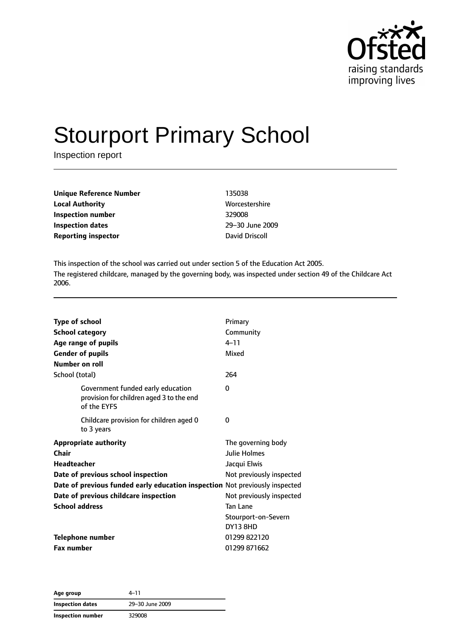

# Stourport Primary School

Inspection report

| Unique Reference Number    | 135038        |
|----------------------------|---------------|
| <b>Local Authority</b>     | <b>Worces</b> |
| Inspection number          | 329008        |
| Inspection dates           | $29 - 30$ .   |
| <b>Reporting inspector</b> | David D       |

**Worcestershire Inspection dates** 29–30 June 2009 **David Driscoll** 

This inspection of the school was carried out under section 5 of the Education Act 2005. The registered childcare, managed by the governing body, was inspected under section 49 of the Childcare Act 2006.

| <b>Type of school</b><br><b>School category</b><br>Age range of pupils<br><b>Gender of pupils</b><br><b>Number on roll</b>                                                                                                                         | Primary<br>Community<br>$4 - 11$<br>Mixed                                                                                                            |
|----------------------------------------------------------------------------------------------------------------------------------------------------------------------------------------------------------------------------------------------------|------------------------------------------------------------------------------------------------------------------------------------------------------|
| School (total)                                                                                                                                                                                                                                     | 264                                                                                                                                                  |
| Government funded early education<br>provision for children aged 3 to the end<br>of the EYFS                                                                                                                                                       | 0                                                                                                                                                    |
| Childcare provision for children aged 0<br>to 3 years                                                                                                                                                                                              | $\Omega$                                                                                                                                             |
| <b>Appropriate authority</b><br>Chair<br><b>Headteacher</b><br>Date of previous school inspection<br>Date of previous funded early education inspection Not previously inspected<br>Date of previous childcare inspection<br><b>School address</b> | The governing body<br>Julie Holmes<br>Jacqui Elwis<br>Not previously inspected<br>Not previously inspected<br><b>Tan Lane</b><br>Stourport-on-Severn |
| Telephone number<br><b>Fax number</b>                                                                                                                                                                                                              | <b>DY13 8HD</b><br>01299 822120<br>01299 871662                                                                                                      |

**Age group** 4–11 **Inspection dates** 29–30 June 2009 **Inspection number** 329008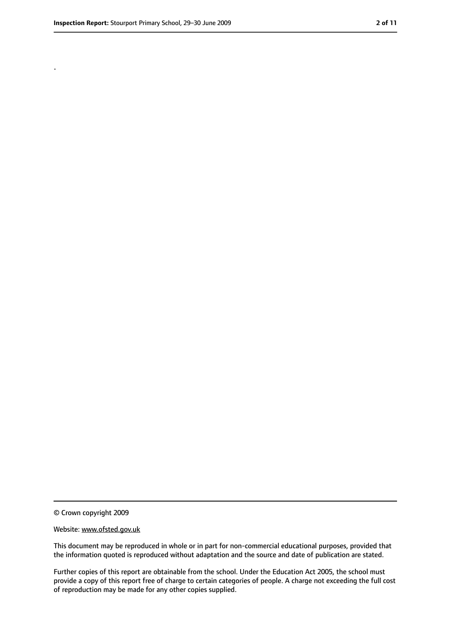.

<sup>©</sup> Crown copyright 2009

Website: www.ofsted.gov.uk

This document may be reproduced in whole or in part for non-commercial educational purposes, provided that the information quoted is reproduced without adaptation and the source and date of publication are stated.

Further copies of this report are obtainable from the school. Under the Education Act 2005, the school must provide a copy of this report free of charge to certain categories of people. A charge not exceeding the full cost of reproduction may be made for any other copies supplied.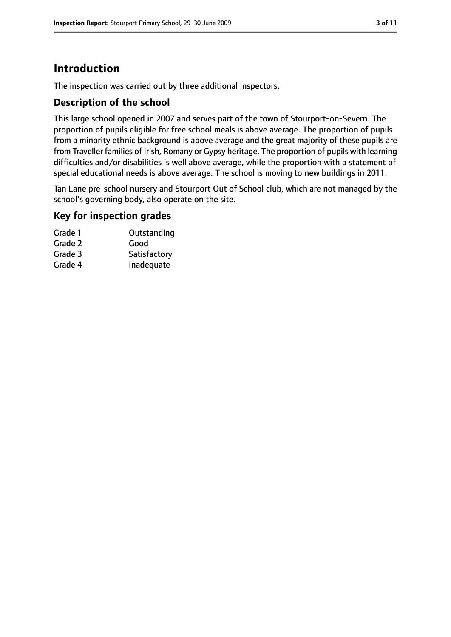# **Introduction**

The inspection was carried out by three additional inspectors.

## **Description of the school**

This large school opened in 2007 and serves part of the town of Stourport-on-Severn. The proportion of pupils eligible for free school meals is above average. The proportion of pupils from a minority ethnic background is above average and the great majority of these pupils are from Traveller families of Irish, Romany or Gypsy heritage. The proportion of pupils with learning difficulties and/or disabilities is well above average, while the proportion with a statement of special educational needs is above average. The school is moving to new buildings in 2011.

Tan Lane pre-school nursery and Stourport Out of School club, which are not managed by the school's governing body, also operate on the site.

## **Key for inspection grades**

| Grade 1 | Outstanding  |
|---------|--------------|
| Grade 2 | Good         |
| Grade 3 | Satisfactory |
| Grade 4 | Inadequate   |
|         |              |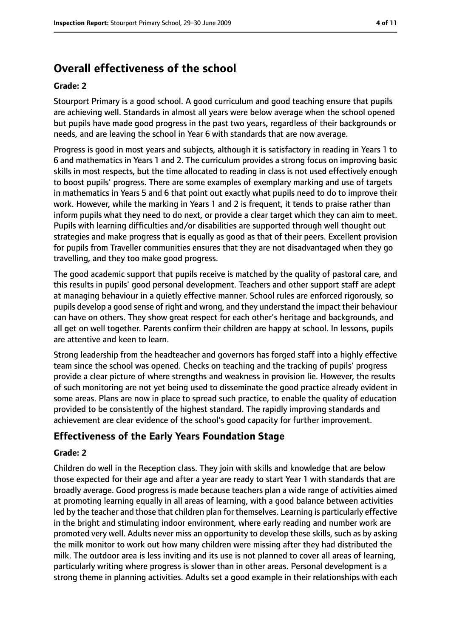# **Overall effectiveness of the school**

#### **Grade: 2**

Stourport Primary is a good school. A good curriculum and good teaching ensure that pupils are achieving well. Standards in almost all years were below average when the school opened but pupils have made good progress in the past two years, regardless of their backgrounds or needs, and are leaving the school in Year 6 with standards that are now average.

Progress is good in most years and subjects, although it is satisfactory in reading in Years 1 to 6 and mathematics in Years 1 and 2. The curriculum provides a strong focus on improving basic skills in most respects, but the time allocated to reading in class is not used effectively enough to boost pupils' progress. There are some examples of exemplary marking and use of targets in mathematics in Years 5 and 6 that point out exactly what pupils need to do to improve their work. However, while the marking in Years 1 and 2 is frequent, it tends to praise rather than inform pupils what they need to do next, or provide a clear target which they can aim to meet. Pupils with learning difficulties and/or disabilities are supported through well thought out strategies and make progress that is equally as good as that of their peers. Excellent provision for pupils from Traveller communities ensures that they are not disadvantaged when they go travelling, and they too make good progress.

The good academic support that pupils receive is matched by the quality of pastoral care, and this results in pupils' good personal development. Teachers and other support staff are adept at managing behaviour in a quietly effective manner. School rules are enforced rigorously, so pupils develop a good sense of right and wrong, and they understand the impact their behaviour can have on others. They show great respect for each other's heritage and backgrounds, and all get on well together. Parents confirm their children are happy at school. In lessons, pupils are attentive and keen to learn.

Strong leadership from the headteacher and governors has forged staff into a highly effective team since the school was opened. Checks on teaching and the tracking of pupils' progress provide a clear picture of where strengths and weakness in provision lie. However, the results of such monitoring are not yet being used to disseminate the good practice already evident in some areas. Plans are now in place to spread such practice, to enable the quality of education provided to be consistently of the highest standard. The rapidly improving standards and achievement are clear evidence of the school's good capacity for further improvement.

## **Effectiveness of the Early Years Foundation Stage**

#### **Grade: 2**

Children do well in the Reception class. They join with skills and knowledge that are below those expected for their age and after a year are ready to start Year 1 with standards that are broadly average. Good progress is made because teachers plan a wide range of activities aimed at promoting learning equally in all areas of learning, with a good balance between activities led by the teacher and those that children plan for themselves. Learning is particularly effective in the bright and stimulating indoor environment, where early reading and number work are promoted very well. Adults never miss an opportunity to develop these skills, such as by asking the milk monitor to work out how many children were missing after they had distributed the milk. The outdoor area is less inviting and its use is not planned to cover all areas of learning, particularly writing where progress is slower than in other areas. Personal development is a strong theme in planning activities. Adults set a good example in their relationships with each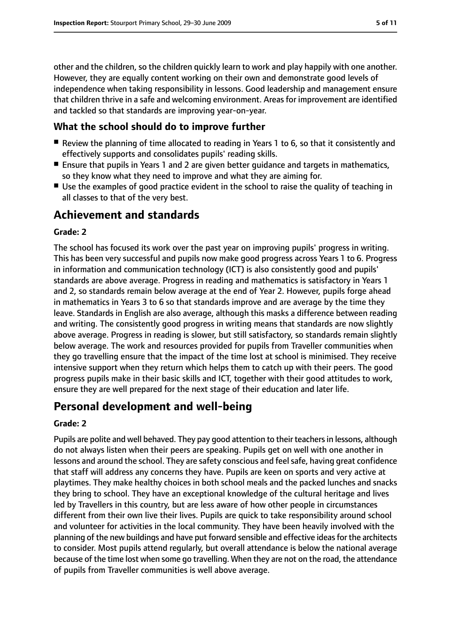other and the children, so the children quickly learn to work and play happily with one another. However, they are equally content working on their own and demonstrate good levels of independence when taking responsibility in lessons. Good leadership and management ensure that children thrive in a safe and welcoming environment. Areas for improvement are identified and tackled so that standards are improving year-on-year.

## **What the school should do to improve further**

- Review the planning of time allocated to reading in Years 1 to 6, so that it consistently and effectively supports and consolidates pupils' reading skills.
- Ensure that pupils in Years 1 and 2 are given better guidance and targets in mathematics, so they know what they need to improve and what they are aiming for.
- Use the examples of good practice evident in the school to raise the quality of teaching in all classes to that of the very best.

## **Achievement and standards**

#### **Grade: 2**

The school has focused its work over the past year on improving pupils' progress in writing. This has been very successful and pupils now make good progress across Years 1 to 6. Progress in information and communication technology (ICT) is also consistently good and pupils' standards are above average. Progress in reading and mathematics is satisfactory in Years 1 and 2, so standards remain below average at the end of Year 2. However, pupils forge ahead in mathematics in Years 3 to 6 so that standards improve and are average by the time they leave. Standards in English are also average, although this masks a difference between reading and writing. The consistently good progress in writing means that standards are now slightly above average. Progress in reading is slower, but still satisfactory, so standards remain slightly below average. The work and resources provided for pupils from Traveller communities when they go travelling ensure that the impact of the time lost at school is minimised. They receive intensive support when they return which helps them to catch up with their peers. The good progress pupils make in their basic skills and ICT, together with their good attitudes to work, ensure they are well prepared for the next stage of their education and later life.

# **Personal development and well-being**

#### **Grade: 2**

Pupils are polite and well behaved. They pay good attention to their teachersin lessons, although do not always listen when their peers are speaking. Pupils get on well with one another in lessons and around the school. They are safety conscious and feelsafe, having great confidence that staff will address any concerns they have. Pupils are keen on sports and very active at playtimes. They make healthy choices in both school meals and the packed lunches and snacks they bring to school. They have an exceptional knowledge of the cultural heritage and lives led by Travellers in this country, but are less aware of how other people in circumstances different from their own live their lives. Pupils are quick to take responsibility around school and volunteer for activities in the local community. They have been heavily involved with the planning of the new buildings and have put forward sensible and effective ideasfor the architects to consider. Most pupils attend regularly, but overall attendance is below the national average because of the time lost when some go travelling. When they are not on the road, the attendance of pupils from Traveller communities is well above average.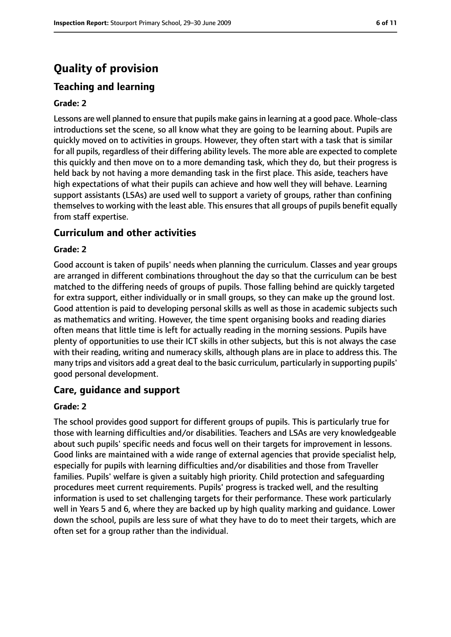# **Quality of provision**

#### **Teaching and learning**

#### **Grade: 2**

Lessons are well planned to ensure that pupils make gainsin learning at a good pace. Whole-class introductions set the scene, so all know what they are going to be learning about. Pupils are quickly moved on to activities in groups. However, they often start with a task that is similar for all pupils, regardless of their differing ability levels. The more able are expected to complete this quickly and then move on to a more demanding task, which they do, but their progress is held back by not having a more demanding task in the first place. This aside, teachers have high expectations of what their pupils can achieve and how well they will behave. Learning support assistants (LSAs) are used well to support a variety of groups, rather than confining themselves to working with the least able. This ensures that all groups of pupils benefit equally from staff expertise.

#### **Curriculum and other activities**

#### **Grade: 2**

Good account is taken of pupils' needs when planning the curriculum. Classes and year groups are arranged in different combinations throughout the day so that the curriculum can be best matched to the differing needs of groups of pupils. Those falling behind are quickly targeted for extra support, either individually or in small groups, so they can make up the ground lost. Good attention is paid to developing personal skills as well as those in academic subjects such as mathematics and writing. However, the time spent organising books and reading diaries often means that little time is left for actually reading in the morning sessions. Pupils have plenty of opportunities to use their ICT skills in other subjects, but this is not always the case with their reading, writing and numeracy skills, although plans are in place to address this. The many trips and visitors add a great deal to the basic curriculum, particularly in supporting pupils' good personal development.

#### **Care, guidance and support**

#### **Grade: 2**

The school provides good support for different groups of pupils. This is particularly true for those with learning difficulties and/or disabilities. Teachers and LSAs are very knowledgeable about such pupils' specific needs and focus well on their targets for improvement in lessons. Good links are maintained with a wide range of external agencies that provide specialist help, especially for pupils with learning difficulties and/or disabilities and those from Traveller families. Pupils' welfare is given a suitably high priority. Child protection and safeguarding procedures meet current requirements. Pupils' progress is tracked well, and the resulting information is used to set challenging targets for their performance. These work particularly well in Years 5 and 6, where they are backed up by high quality marking and guidance. Lower down the school, pupils are less sure of what they have to do to meet their targets, which are often set for a group rather than the individual.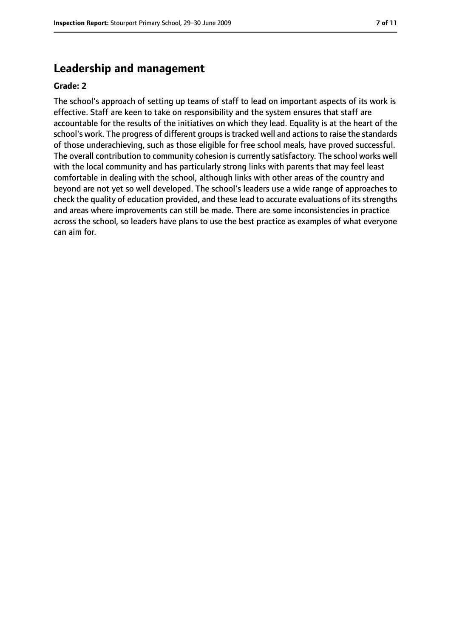## **Leadership and management**

#### **Grade: 2**

The school's approach of setting up teams of staff to lead on important aspects of its work is effective. Staff are keen to take on responsibility and the system ensures that staff are accountable for the results of the initiatives on which they lead. Equality is at the heart of the school's work. The progress of different groups is tracked well and actions to raise the standards of those underachieving, such as those eligible for free school meals, have proved successful. The overall contribution to community cohesion is currently satisfactory. The school works well with the local community and has particularly strong links with parents that may feel least comfortable in dealing with the school, although links with other areas of the country and beyond are not yet so well developed. The school's leaders use a wide range of approaches to check the quality of education provided, and these lead to accurate evaluations of its strengths and areas where improvements can still be made. There are some inconsistencies in practice across the school, so leaders have plans to use the best practice as examples of what everyone can aim for.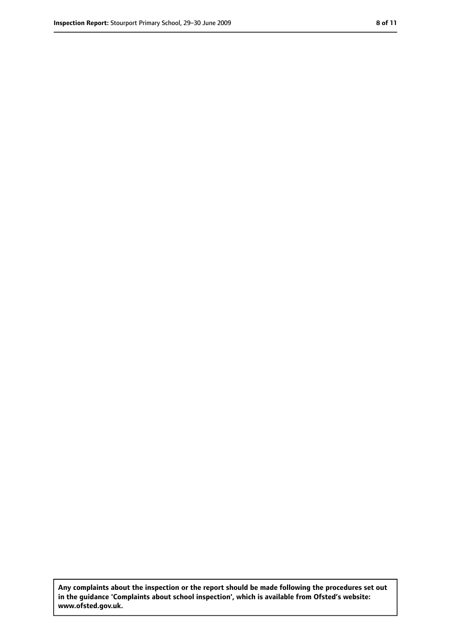**Any complaints about the inspection or the report should be made following the procedures set out in the guidance 'Complaints about school inspection', which is available from Ofsted's website: www.ofsted.gov.uk.**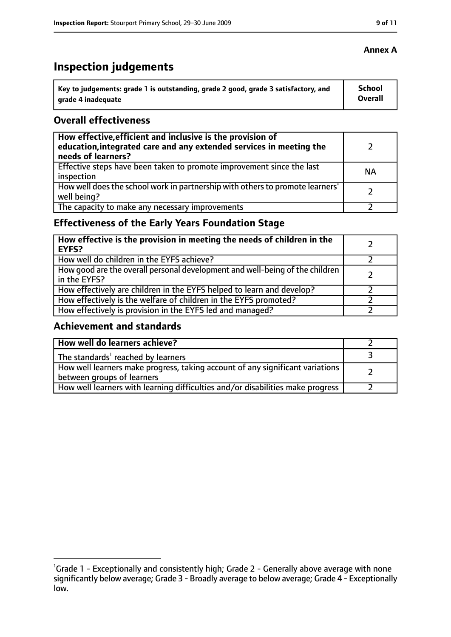# **Inspection judgements**

| key to judgements: grade 1 is outstanding, grade 2 good, grade 3 satisfactory, and ا | School         |
|--------------------------------------------------------------------------------------|----------------|
| arade 4 inadequate                                                                   | <b>Overall</b> |

#### **Overall effectiveness**

| How effective, efficient and inclusive is the provision of<br>education, integrated care and any extended services in meeting the<br>needs of learners? |           |
|---------------------------------------------------------------------------------------------------------------------------------------------------------|-----------|
| Effective steps have been taken to promote improvement since the last<br>inspection                                                                     | <b>NA</b> |
| How well does the school work in partnership with others to promote learners'<br>well being?                                                            |           |
| The capacity to make any necessary improvements                                                                                                         |           |

## **Effectiveness of the Early Years Foundation Stage**

| How effective is the provision in meeting the needs of children in the<br>l EYFS?            |  |
|----------------------------------------------------------------------------------------------|--|
| How well do children in the EYFS achieve?                                                    |  |
| How good are the overall personal development and well-being of the children<br>in the EYFS? |  |
| How effectively are children in the EYFS helped to learn and develop?                        |  |
| How effectively is the welfare of children in the EYFS promoted?                             |  |
| How effectively is provision in the EYFS led and managed?                                    |  |

#### **Achievement and standards**

| How well do learners achieve?                                                  |  |
|--------------------------------------------------------------------------------|--|
| $\vert$ The standards <sup>1</sup> reached by learners                         |  |
| How well learners make progress, taking account of any significant variations  |  |
| between groups of learners                                                     |  |
| How well learners with learning difficulties and/or disabilities make progress |  |

## **Annex A**

<sup>&</sup>lt;sup>1</sup>Grade 1 - Exceptionally and consistently high; Grade 2 - Generally above average with none significantly below average; Grade 3 - Broadly average to below average; Grade 4 - Exceptionally low.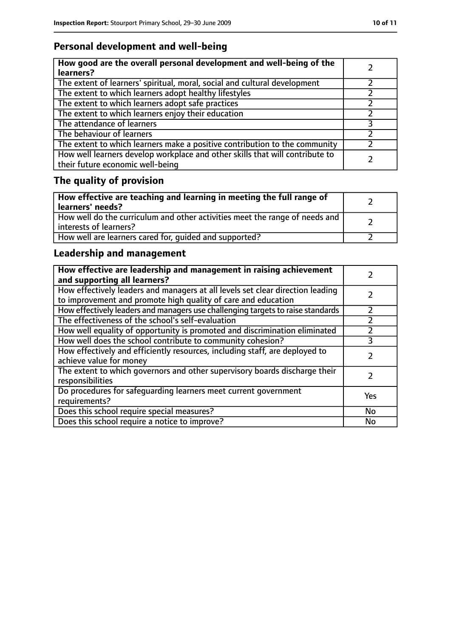## **Personal development and well-being**

| How good are the overall personal development and well-being of the<br>learners?                                 |  |
|------------------------------------------------------------------------------------------------------------------|--|
| The extent of learners' spiritual, moral, social and cultural development                                        |  |
| The extent to which learners adopt healthy lifestyles                                                            |  |
| The extent to which learners adopt safe practices                                                                |  |
| The extent to which learners enjoy their education                                                               |  |
| The attendance of learners                                                                                       |  |
| The behaviour of learners                                                                                        |  |
| The extent to which learners make a positive contribution to the community                                       |  |
| How well learners develop workplace and other skills that will contribute to<br>their future economic well-being |  |

# **The quality of provision**

| How effective are teaching and learning in meeting the full range of<br>learners' needs?              |  |
|-------------------------------------------------------------------------------------------------------|--|
| How well do the curriculum and other activities meet the range of needs and<br>interests of learners? |  |
| How well are learners cared for, quided and supported?                                                |  |

## **Leadership and management**

| How effective are leadership and management in raising achievement<br>and supporting all learners?                                              |     |
|-------------------------------------------------------------------------------------------------------------------------------------------------|-----|
| How effectively leaders and managers at all levels set clear direction leading<br>to improvement and promote high quality of care and education |     |
| How effectively leaders and managers use challenging targets to raise standards                                                                 |     |
| The effectiveness of the school's self-evaluation                                                                                               |     |
| How well equality of opportunity is promoted and discrimination eliminated                                                                      |     |
| How well does the school contribute to community cohesion?                                                                                      | 3   |
| How effectively and efficiently resources, including staff, are deployed to<br>achieve value for money                                          |     |
| The extent to which governors and other supervisory boards discharge their<br>responsibilities                                                  |     |
| Do procedures for safequarding learners meet current government<br>requirements?                                                                | Yes |
| Does this school require special measures?                                                                                                      | No  |
| Does this school require a notice to improve?                                                                                                   | No  |